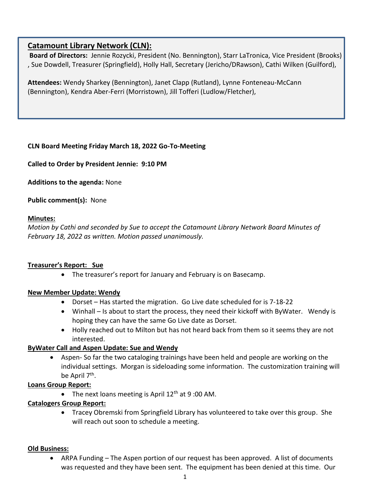# **Catamount Library Network (CLN):**

**Board of Directors:** Jennie Rozycki, President (No. Bennington), Starr LaTronica, Vice President (Brooks) , Sue Dowdell, Treasurer (Springfield), Holly Hall, Secretary (Jericho/DRawson), Cathi Wilken (Guilford),

**Attendees:** Wendy Sharkey (Bennington), Janet Clapp (Rutland), Lynne Fonteneau-McCann (Bennington), Kendra Aber-Ferri (Morristown), Jill Tofferi (Ludlow/Fletcher),

### **CLN Board Meeting Friday March 18, 2022 Go-To-Meeting**

**Called to Order by President Jennie: 9:10 PM**

**Additions to the agenda:** None

**Public comment(s):** None

#### **Minutes:**

*Motion by Cathi and seconded by Sue to accept the Catamount Library Network Board Minutes of February 18, 2022 as written. Motion passed unanimously.*

#### **Treasurer's Report: Sue**

• The treasurer's report for January and February is on Basecamp.

#### **New Member Update: Wendy**

- Dorset Has started the migration. Go Live date scheduled for is 7-18-22
- Winhall Is about to start the process, they need their kickoff with ByWater. Wendy is hoping they can have the same Go Live date as Dorset.
- Holly reached out to Milton but has not heard back from them so it seems they are not interested.

## **ByWater Call and Aspen Update: Sue and Wendy**

• Aspen- So far the two cataloging trainings have been held and people are working on the individual settings. Morgan is sideloading some information. The customization training will be April 7<sup>th</sup>.

#### **Loans Group Report:**

• The next loans meeting is April  $12<sup>th</sup>$  at 9:00 AM.

## **Catalogers Group Report:**

• Tracey Obremski from Springfield Library has volunteered to take over this group. She will reach out soon to schedule a meeting.

#### **Old Business:**

ARPA Funding – The Aspen portion of our request has been approved. A list of documents was requested and they have been sent. The equipment has been denied at this time. Our